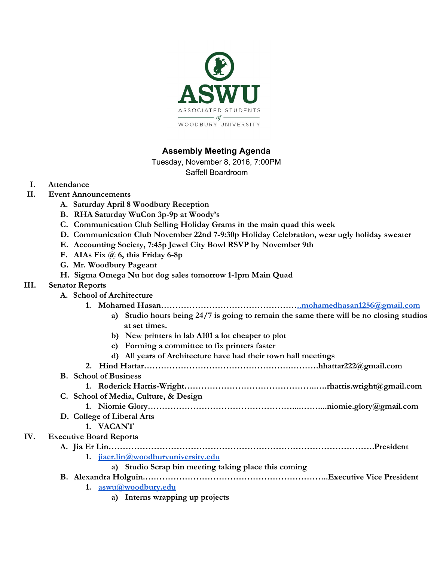

## **Assembly Meeting Agenda**

Tuesday, November 8, 2016, 7:00PM

Saffell Boardroom

- **I. Attendance**
- **II. Event Announcements**
	- **A. Saturday April 8 Woodbury Reception**
	- **B. RHA Saturday WuCon 3p-9p at Woody's**
	- **C. Communication Club Selling Holiday Grams in the main quad this week**
	- **D. Communication Club November 22nd 7-9:30p Holiday Celebration, wear ugly holiday sweater**
	- **E. Accounting Society, 7:45p Jewel City Bowl RSVP by November 9th**
	- **F. AIAs Fix @ 6, this Friday 6-8p**
	- **G. Mr. Woodbury Pageant**
	- **H. Sigma Omega Nu hot dog sales tomorrow 1-1pm Main Quad**

### **III. Senator Reports**

- **A. School of Architecture**
	- **1. Mohamed Hasan…………………………………………..mohamedhasan1256@gmail.com**
		- **a) Studio hours being 24/7 is going to remain the same there will be no closing studios at set times.**
		- **b) New printers in lab A101 a lot cheaper to plot**
		- **c) Forming a committee to fix printers faster**
		- **d) All years of Architecture have had their town hall meetings**
	- **2. Hind Hattar…………………………………………….……….hhattar222@gmail.com**
- **B. School of Business**
	- **1. Roderick Harris-Wright………………………………………..….rharris.wright@gmail.com**
	- **C. School of Media, Culture, & Design 1. Niomie Glory……………………………………………....……....niomie.glory@gmail.com**
	- **D. College of Liberal Arts**

#### **1. VACANT**

### **IV. Executive Board Reports**

**A. Jia Er Lin………………………………………………………………………………….President**

**1. [jiaer.lin@woodburyuniversity.edu](mailto:jiaer.lin@woodburyuniversity.edu)**

**a) Studio Scrap bin meeting taking place this coming**

- **B. Alexandra Holguin.………………………………………………………..Executive Vice President**
	- **1. [aswu@woodbury.edu](mailto:aswu@woodbury.edu)**
		- **a) Interns wrapping up projects**